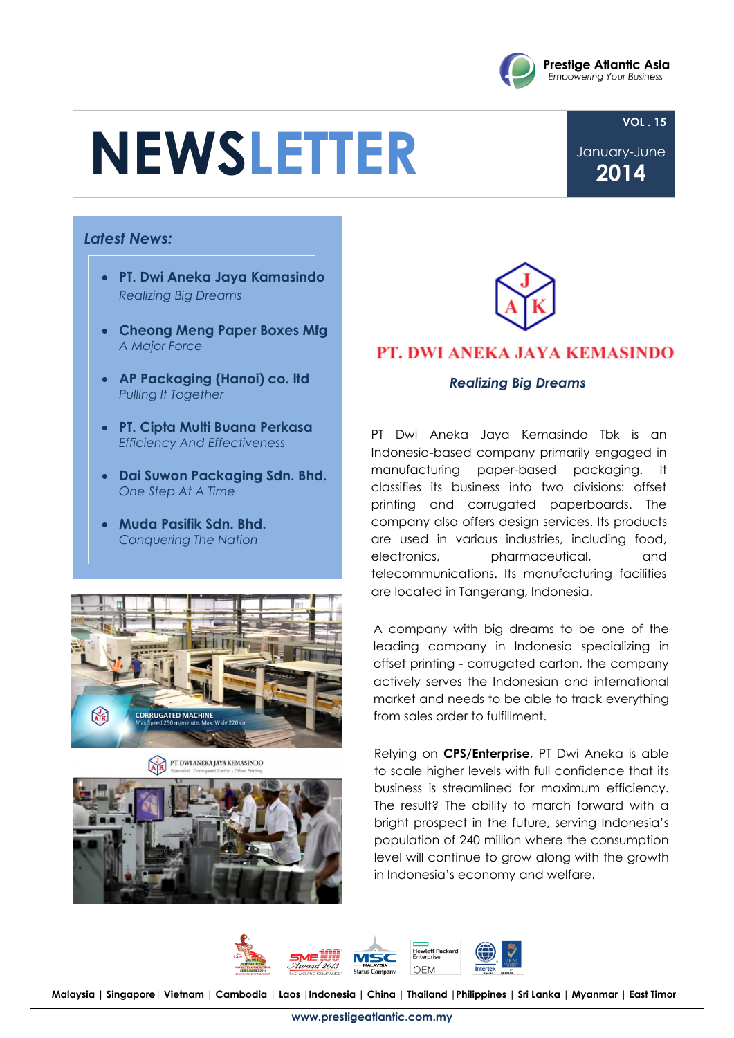# **NEWSLETTER**

**VOL . 15** January-June

**Prestige Atlantic Asia Empowering Your Business** 

**2014**

#### *Latest News:*

- **PT. Dwi Aneka Jaya Kamasindo** *Realizing Big Dreams*
- **Cheong Meng Paper Boxes Mfg** *A Major Force*
- **AP Packaging (Hanoi) co. ltd** *Pulling It Together*
- **PT. Cipta Multi Buana Perkasa** *Efficiency And Effectiveness*
- **Dai Suwon Packaging Sdn. Bhd.** *One Step At A Time*
- **Muda Pasifik Sdn. Bhd.** *Conquering The Nation*







#### PT. DWI ANEKA JAYA KEMASINDO

#### *Realizing Big Dreams*

PT Dwi Aneka Jaya Kemasindo Tbk is an Indonesia-based company primarily engaged in manufacturing paper-based packaging. It classifies its business into two divisions: offset printing and corrugated paperboards. The company also offers design services. Its products are used in various industries, including food, electronics, pharmaceutical, and telecommunications. Its manufacturing facilities are located in Tangerang, Indonesia.

A company with big dreams to be one of the leading company in Indonesia specializing in offset printing - corrugated carton, the company actively serves the Indonesian and international market and needs to be able to track everything from sales order to fulfillment.

Relying on **CPS/Enterprise**, PT Dwi Aneka is able to scale higher levels with full confidence that its business is streamlined for maximum efficiency. The result? The ability to march forward with a bright prospect in the future, serving Indonesia's population of 240 million where the consumption level will continue to grow along with the growth in Indonesia's economy and welfare.



**Malaysia | Singapore| Vietnam | Cambodia | Laos |Indonesia | China | Thailand |Philippines | Sri Lanka | Myanmar | East Timor**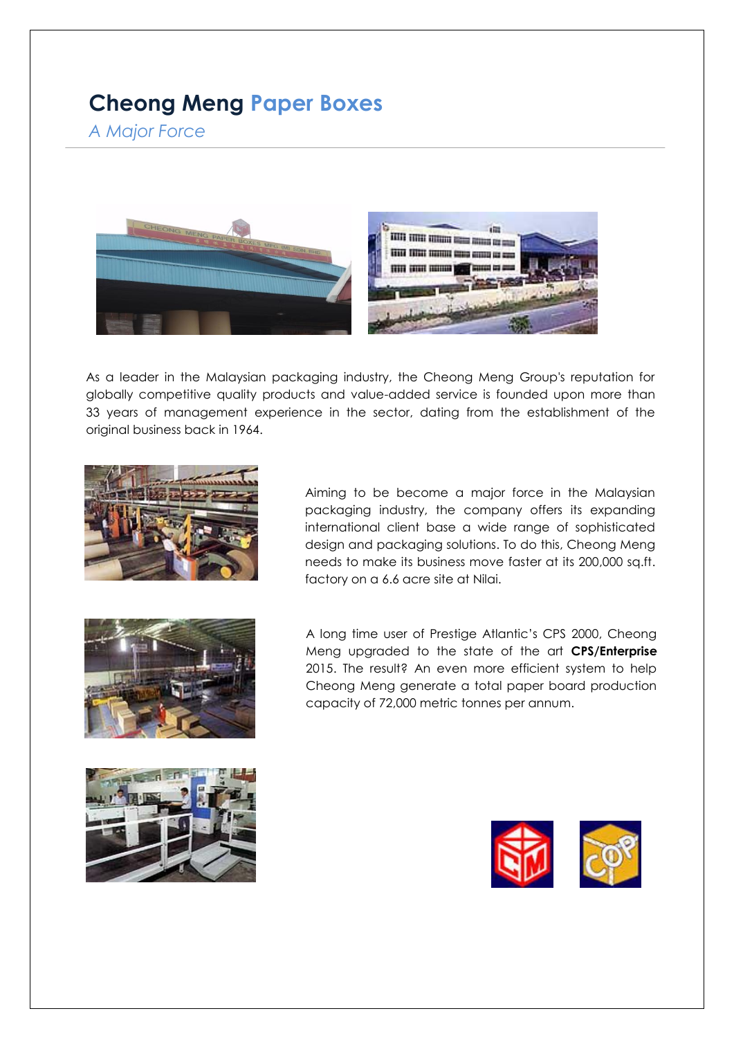## **Cheong Meng Paper Boxes**

*A Major Force*



As a leader in the Malaysian packaging industry, the Cheong Meng Group's reputation for globally competitive quality products and value-added service is founded upon more than 33 years of management experience in the sector, dating from the establishment of the original business back in 1964.



Aiming to be become a major force in the Malaysian packaging industry, the company offers its expanding international client base a wide range of sophisticated design and packaging solutions. To do this, Cheong Meng needs to make its business move faster at its 200,000 sq.ft. factory on a 6.6 acre site at Nilai.



A long time user of Prestige Atlantic's CPS 2000, Cheong Meng upgraded to the state of the art **CPS/Enterprise** 2015. The result? An even more efficient system to help Cheong Meng generate a total paper board production capacity of 72,000 metric tonnes per annum.



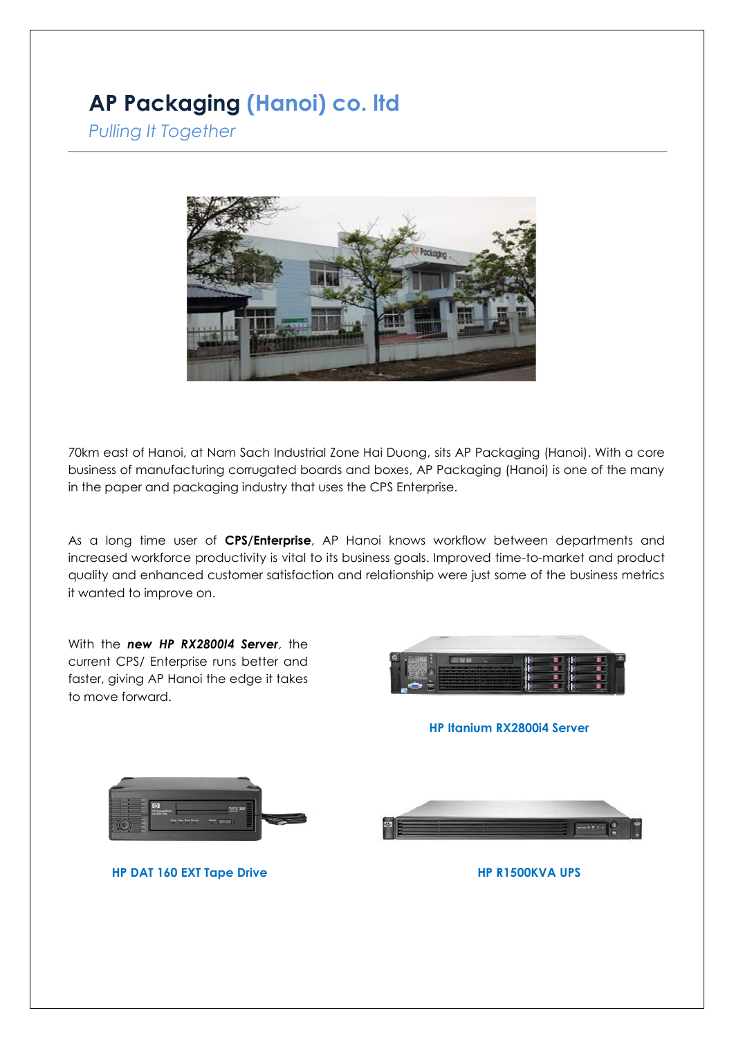## **AP Packaging (Hanoi) co. ltd**

*Pulling It Together*



70km east of Hanoi, at Nam Sach Industrial Zone Hai Duong, sits AP Packaging (Hanoi). With a core business of manufacturing corrugated boards and boxes, AP Packaging (Hanoi) is one of the many in the paper and packaging industry that uses the CPS Enterprise.

As a long time user of **CPS/Enterprise**, AP Hanoi knows workflow between departments and increased workforce productivity is vital to its business goals. Improved time-to-market and product quality and enhanced customer satisfaction and relationship were just some of the business metrics it wanted to improve on.

With the *new HP RX2800I4 Server*, the current CPS/ Enterprise runs better and faster, giving AP Hanoi the edge it takes to move forward.



**HP Itanium RX2800i4 Server**



**HP DAT 160 EXT Tape Drive HP R1500KVA UPS**

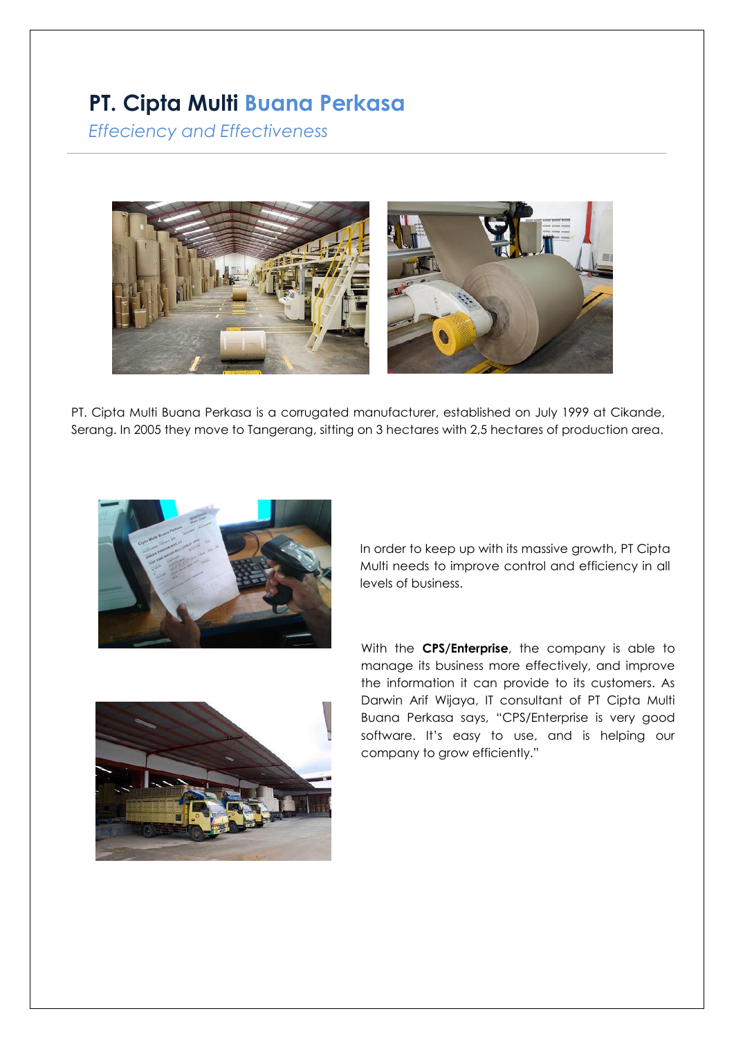## **PT. Cipta Multi Buana Perkasa**

*Effeciency and Effectiveness*



PT. Cipta Multi Buana Perkasa is a corrugated manutacturer, established on July 1999 at Cikande.<br>Serang. In 2005 they move to Tangerang, sitting on 3 hectares with 2,5 hectares of production area. PT. Cipta Multi Buana Perkasa is a corrugated manufacturer, established on July 1999 at Cikande,



In order to keep up with its massive growth, PT Cipta Multi needs to improve control and efficiency in all levels of business.



With the **CPS/Enterprise**, the company is able to manage its business more effectively, and improve the information it can provide to its customers. As Darwin Arif Wijaya, IT consultant of PT Cipta Multi Buana Perkasa says, "CPS/Enterprise is very good software. It's easy to use, and is helping our company to grow efficiently."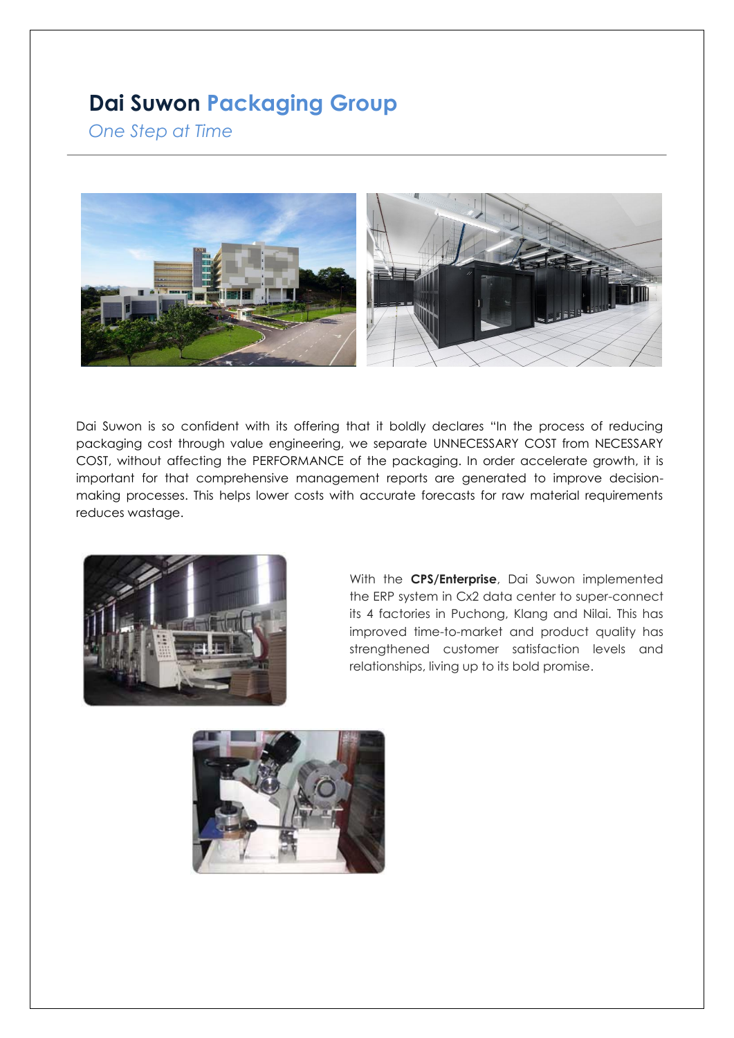### **Dai Suwon Packaging Group**

*One Step at Time*



Dai Suwon is so confident with its offering that it boldly declares "In the process of reducing packaging cost through value engineering, we separate UNNECESSARY COST from NECESSARY COST, without affecting the PERFORMANCE of the packaging. In order accelerate growth, it is important for that comprehensive management reports are generated to improve decisionmaking processes. This helps lower costs with accurate forecasts for raw material requirements reduces wastage.



With the **CPS/Enterprise**, Dai Suwon implemented the ERP system in Cx2 data center to super-connect its 4 factories in Puchong, Klang and Nilai. This has improved time-to-market and product quality has strengthened customer satisfaction levels and relationships, living up to its bold promise.